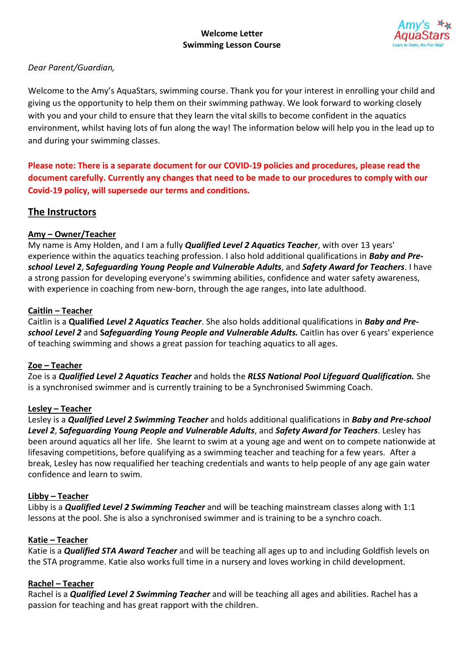## **Welcome Letter Swimming Lesson Course**



## *Dear Parent/Guardian,*

Welcome to the Amy's AquaStars, swimming course. Thank you for your interest in enrolling your child and giving us the opportunity to help them on their swimming pathway. We look forward to working closely with you and your child to ensure that they learn the vital skills to become confident in the aquatics environment, whilst having lots of fun along the way! The information below will help you in the lead up to and during your swimming classes.

**Please note: There is a separate document for our COVID-19 policies and procedures, please read the document carefully. Currently any changes that need to be made to our procedures to comply with our Covid-19 policy, will supersede our terms and conditions.**

# **The Instructors**

## **Amy – Owner/Teacher**

My name is Amy Holden, and I am a fully *Qualified Level 2 Aquatics Teacher*, with over 13 years' experience within the aquatics teaching profession. I also hold additional qualifications in *Baby and Preschool Level 2*, **S***afeguarding Young People and Vulnerable Adults*, and *Safety Award for Teachers*. I have a strong passion for developing everyone's swimming abilities, confidence and water safety awareness, with experience in coaching from new-born, through the age ranges, into late adulthood.

## **Caitlin – Teacher**

Caitlin is a **Qualified** *Level 2 Aquatics Teacher*. She also holds additional qualifications in *Baby and Preschool Level 2* and **S***afeguarding Young People and Vulnerable Adults.* Caitlin has over 6 years' experience of teaching swimming and shows a great passion for teaching aquatics to all ages.

## **Zoe – Teacher**

Zoe is a *Qualified Level 2 Aquatics Teacher* and holds the *RLSS National Pool Lifeguard Qualification.* She is a synchronised swimmer and is currently training to be a Synchronised Swimming Coach.

## **Lesley – Teacher**

Lesley is a *Qualified Level 2 Swimming Teacher* and holds additional qualifications in *Baby and Pre-school Level 2*, **S***afeguarding Young People and Vulnerable Adults*, and *Safety Award for Teachers*. Lesley has been around aquatics all her life. She learnt to swim at a young age and went on to compete nationwide at lifesaving competitions, before qualifying as a swimming teacher and teaching for a few years. After a break, Lesley has now requalified her teaching credentials and wants to help people of any age gain water confidence and learn to swim.

## **Libby – Teacher**

Libby is a *Qualified Level 2 Swimming Teacher* and will be teaching mainstream classes along with 1:1 lessons at the pool. She is also a synchronised swimmer and is training to be a synchro coach.

## **Katie – Teacher**

Katie is a *Qualified STA Award Teacher* and will be teaching all ages up to and including Goldfish levels on the STA programme. Katie also works full time in a nursery and loves working in child development.

## **Rachel – Teacher**

Rachel is a *Qualified Level 2 Swimming Teacher* and will be teaching all ages and abilities. Rachel has a passion for teaching and has great rapport with the children.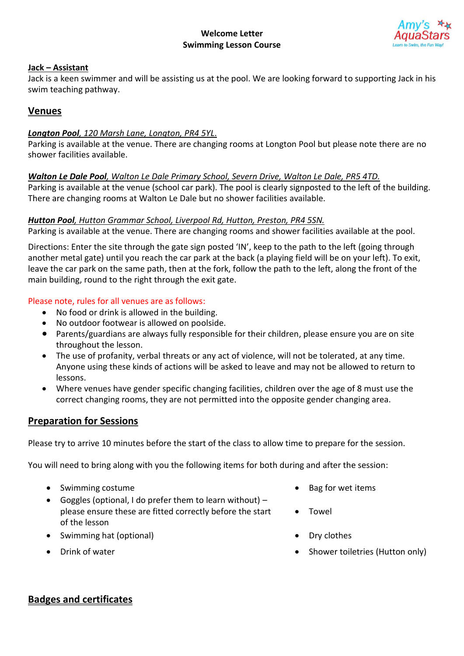

## **Jack – Assistant**

Jack is a keen swimmer and will be assisting us at the pool. We are looking forward to supporting Jack in his swim teaching pathway.

# **Venues**

### *Longton Pool, 120 Marsh Lane, Longton, PR4 5YL*.

Parking is available at the venue. There are changing rooms at Longton Pool but please note there are no shower facilities available.

#### *Walton Le Dale Pool, Walton Le Dale Primary School, Severn Drive, Walton Le Dale, PR5 4TD.*

Parking is available at the venue (school car park). The pool is clearly signposted to the left of the building. There are changing rooms at Walton Le Dale but no shower facilities available.

#### *Hutton Pool, Hutton Grammar School, Liverpool Rd, Hutton, Preston, PR4 5SN.*

Parking is available at the venue. There are changing rooms and shower facilities available at the pool.

Directions: Enter the site through the gate sign posted 'IN', keep to the path to the left (going through another metal gate) until you reach the car park at the back (a playing field will be on your left). To exit, leave the car park on the same path, then at the fork, follow the path to the left, along the front of the main building, round to the right through the exit gate.

#### Please note, rules for all venues are as follows:

- No food or drink is allowed in the building.
- No outdoor footwear is allowed on poolside.
- Parents/guardians are always fully responsible for their children, please ensure you are on site throughout the lesson.
- The use of profanity, verbal threats or any act of violence, will not be tolerated, at any time. Anyone using these kinds of actions will be asked to leave and may not be allowed to return to lessons.
- Where venues have gender specific changing facilities, children over the age of 8 must use the correct changing rooms, they are not permitted into the opposite gender changing area.

# **Preparation for Sessions**

Please try to arrive 10 minutes before the start of the class to allow time to prepare for the session.

You will need to bring along with you the following items for both during and after the session:

- Swimming costume **•** Bag for wet items
- Goggles (optional, I do prefer them to learn without) please ensure these are fitted correctly before the start of the lesson
- Swimming hat (optional) Dry clothes
- 
- 
- **Towel**
- 
- **Prink of water Shower toiletries (Hutton only) Shower toiletries (Hutton only)**

# **Badges and certificates**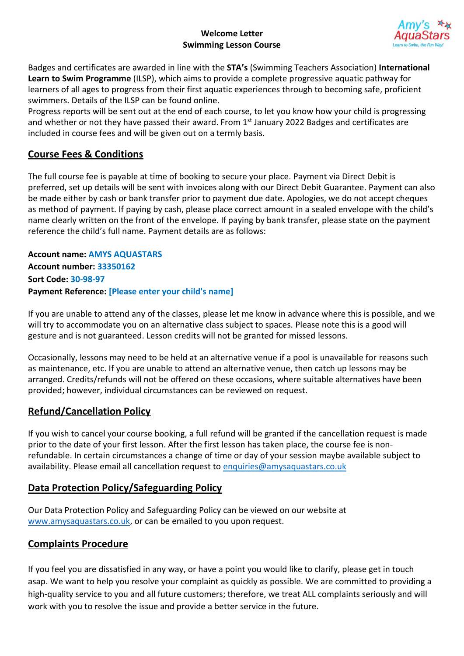## **Welcome Letter Swimming Lesson Course**



Badges and certificates are awarded in line with the **STA's** (Swimming Teachers Association) **International Learn to Swim Programme** (ILSP), which aims to provide a complete progressive aquatic pathway for learners of all ages to progress from their first aquatic experiences through to becoming safe, proficient swimmers. Details of the ILSP can be found online.

Progress reports will be sent out at the end of each course, to let you know how your child is progressing and whether or not they have passed their award. From 1<sup>st</sup> January 2022 Badges and certificates are included in course fees and will be given out on a termly basis.

# **Course Fees & Conditions**

The full course fee is payable at time of booking to secure your place. Payment via Direct Debit is preferred, set up details will be sent with invoices along with our Direct Debit Guarantee. Payment can also be made either by cash or bank transfer prior to payment due date. Apologies, we do not accept cheques as method of payment. If paying by cash, please place correct amount in a sealed envelope with the child's name clearly written on the front of the envelope. If paying by bank transfer, please state on the payment reference the child's full name. Payment details are as follows:

**Account name: AMYS AQUASTARS Account number: 33350162 Sort Code: 30-98-97 Payment Reference: [Please enter your child's name]** 

If you are unable to attend any of the classes, please let me know in advance where this is possible, and we will try to accommodate you on an alternative class subject to spaces. Please note this is a good will gesture and is not guaranteed. Lesson credits will not be granted for missed lessons.

Occasionally, lessons may need to be held at an alternative venue if a pool is unavailable for reasons such as maintenance, etc. If you are unable to attend an alternative venue, then catch up lessons may be arranged. Credits/refunds will not be offered on these occasions, where suitable alternatives have been provided; however, individual circumstances can be reviewed on request.

# **Refund/Cancellation Policy**

If you wish to cancel your course booking, a full refund will be granted if the cancellation request is made prior to the date of your first lesson. After the first lesson has taken place, the course fee is nonrefundable. In certain circumstances a change of time or day of your session maybe available subject to availability. Please email all cancellation request to [enquiries@amysaquastars.co.uk](mailto:enquiries@amysaquastars.co.uk)

# **Data Protection Policy/Safeguarding Policy**

Our Data Protection Policy and Safeguarding Policy can be viewed on our website at [www.amysaquastars.co.uk,](http://www.amysaquastars.co.uk/) or can be emailed to you upon request.

# **Complaints Procedure**

If you feel you are dissatisfied in any way, or have a point you would like to clarify, please get in touch asap. We want to help you resolve your complaint as quickly as possible. We are committed to providing a high-quality service to you and all future customers; therefore, we treat ALL complaints seriously and will work with you to resolve the issue and provide a better service in the future.